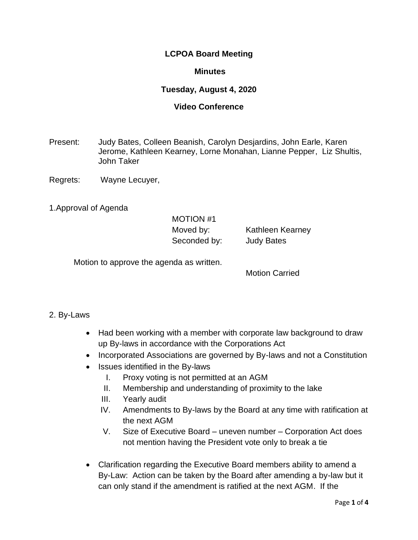# **LCPOA Board Meeting**

#### **Minutes**

# **Tuesday, August 4, 2020**

#### **Video Conference**

- Present: Judy Bates, Colleen Beanish, Carolyn Desjardins, John Earle, Karen Jerome, Kathleen Kearney, Lorne Monahan, Lianne Pepper, Liz Shultis, John Taker
- Regrets: Wayne Lecuyer,

1.Approval of Agenda

# MOTION #1 Moved by: Kathleen Kearney Seconded by: **Judy Bates**

Motion to approve the agenda as written.

Motion Carried

### 2. By-Laws

- Had been working with a member with corporate law background to draw up By-laws in accordance with the Corporations Act
- Incorporated Associations are governed by By-laws and not a Constitution
- Issues identified in the By-laws
	- I. Proxy voting is not permitted at an AGM
	- II. Membership and understanding of proximity to the lake
	- III. Yearly audit
	- IV. Amendments to By-laws by the Board at any time with ratification at the next AGM
	- V. Size of Executive Board uneven number Corporation Act does not mention having the President vote only to break a tie
- Clarification regarding the Executive Board members ability to amend a By-Law: Action can be taken by the Board after amending a by-law but it can only stand if the amendment is ratified at the next AGM. If the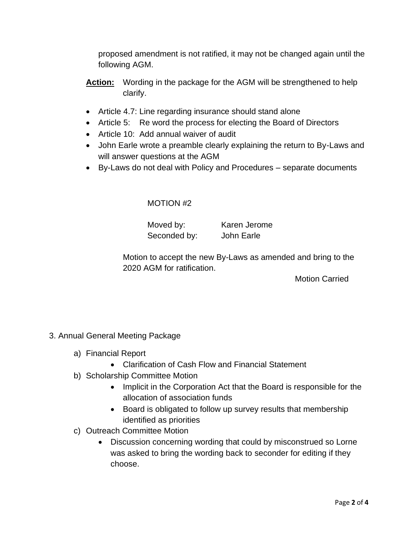proposed amendment is not ratified, it may not be changed again until the following AGM.

- **Action:** Wording in the package for the AGM will be strengthened to help clarify.
- Article 4.7: Line regarding insurance should stand alone
- Article 5: Re word the process for electing the Board of Directors
- Article 10: Add annual waiver of audit
- John Earle wrote a preamble clearly explaining the return to By-Laws and will answer questions at the AGM
- By-Laws do not deal with Policy and Procedures separate documents

# MOTION #2

Seconded by: John Earle

Moved by: Karen Jerome

Motion to accept the new By-Laws as amended and bring to the 2020 AGM for ratification.

Motion Carried

- 3. Annual General Meeting Package
	- a) Financial Report
		- Clarification of Cash Flow and Financial Statement
	- b) Scholarship Committee Motion
		- Implicit in the Corporation Act that the Board is responsible for the allocation of association funds
		- Board is obligated to follow up survey results that membership identified as priorities
	- c) Outreach Committee Motion
		- Discussion concerning wording that could by misconstrued so Lorne was asked to bring the wording back to seconder for editing if they choose.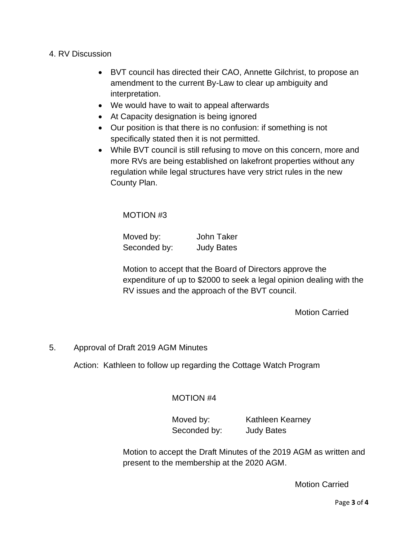#### 4. RV Discussion

- BVT council has directed their CAO, Annette Gilchrist, to propose an amendment to the current By-Law to clear up ambiguity and interpretation.
- We would have to wait to appeal afterwards
- At Capacity designation is being ignored
- Our position is that there is no confusion: if something is not specifically stated then it is not permitted.
- While BVT council is still refusing to move on this concern, more and more RVs are being established on lakefront properties without any regulation while legal structures have very strict rules in the new County Plan.

MOTION #3

| Moved by:    | <b>John Taker</b> |
|--------------|-------------------|
| Seconded by: | <b>Judy Bates</b> |

Motion to accept that the Board of Directors approve the expenditure of up to \$2000 to seek a legal opinion dealing with the RV issues and the approach of the BVT council.

Motion Carried

### 5. Approval of Draft 2019 AGM Minutes

Action: Kathleen to follow up regarding the Cottage Watch Program

### MOTION #4

Moved by: Kathleen Kearney Seconded by: Judy Bates

Motion to accept the Draft Minutes of the 2019 AGM as written and present to the membership at the 2020 AGM.

Motion Carried